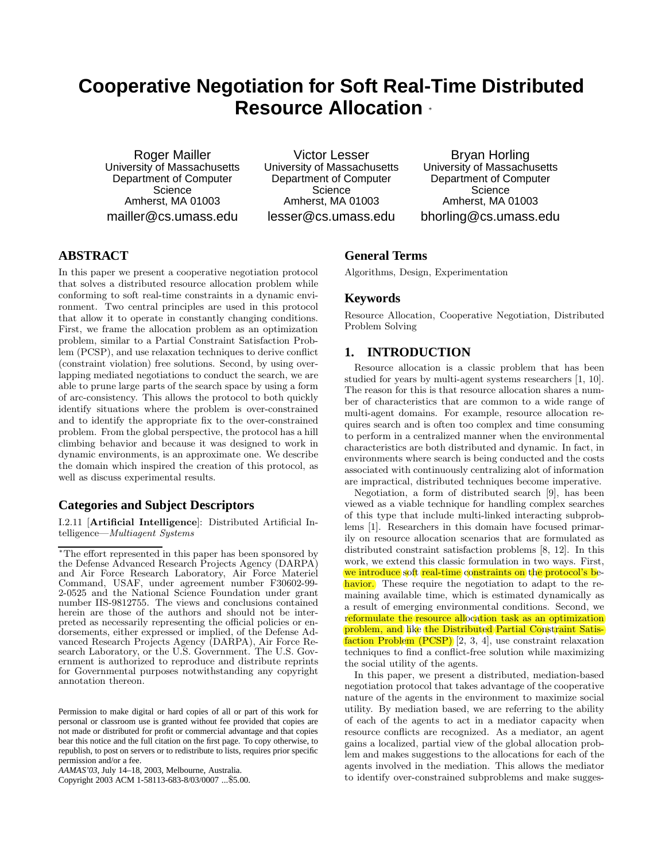# **Cooperative Negotiation for Soft Real-Time Distributed Resource Allocation** <sup>∗</sup>

Roger Mailler University of Massachusetts Department of Computer **Science** Amherst, MA 01003 mailler@cs.umass.edu

Victor Lesser University of Massachusetts Department of Computer **Science** Amherst, MA 01003 lesser@cs.umass.edu

Bryan Horling University of Massachusetts Department of Computer **Science** Amherst, MA 01003 bhorling@cs.umass.edu

# **ABSTRACT**

In this paper we present a cooperative negotiation protocol that solves a distributed resource allocation problem while conforming to soft real-time constraints in a dynamic environment. Two central principles are used in this protocol that allow it to operate in constantly changing conditions. First, we frame the allocation problem as an optimization problem, similar to a Partial Constraint Satisfaction Problem (PCSP), and use relaxation techniques to derive conflict (constraint violation) free solutions. Second, by using overlapping mediated negotiations to conduct the search, we are able to prune large parts of the search space by using a form of arc-consistency. This allows the protocol to both quickly identify situations where the problem is over-constrained and to identify the appropriate fix to the over-constrained problem. From the global perspective, the protocol has a hill climbing behavior and because it was designed to work in dynamic environments, is an approximate one. We describe the domain which inspired the creation of this protocol, as well as discuss experimental results.

# **Categories and Subject Descriptors**

I.2.11 [Artificial Intelligence]: Distributed Artificial Intelligence—Multiagent Systems

# **General Terms**

Algorithms, Design, Experimentation

#### **Keywords**

Resource Allocation, Cooperative Negotiation, Distributed Problem Solving

# **1. INTRODUCTION**

Resource allocation is a classic problem that has been studied for years by multi-agent systems researchers [1, 10]. The reason for this is that resource allocation shares a number of characteristics that are common to a wide range of multi-agent domains. For example, resource allocation requires search and is often too complex and time consuming to perform in a centralized manner when the environmental characteristics are both distributed and dynamic. In fact, in environments where search is being conducted and the costs associated with continuously centralizing alot of information are impractical, distributed techniques become imperative.

Negotiation, a form of distributed search [9], has been viewed as a viable technique for handling complex searches of this type that include multi-linked interacting subproblems [1]. Researchers in this domain have focused primarily on resource allocation scenarios that are formulated as distributed constraint satisfaction problems [8, 12]. In this work, we extend this classic formulation in two ways. First, we introduce  $\hat{\text{soft}}$  real-time constraints on the protocol's behavior. These require the negotiation to adapt to the remaining available time, which is estimated dynamically as a result of emerging environmental conditions. Second, we reformulate the resource allocation task as an optimization problem, and like the Distributed Partial Constraint Satisfaction Problem (PCSP) [2, 3, 4], use constraint relaxation techniques to find a conflict-free solution while maximizing the social utility of the agents.

In this paper, we present a distributed, mediation-based negotiation protocol that takes advantage of the cooperative nature of the agents in the environment to maximize social utility. By mediation based, we are referring to the ability of each of the agents to act in a mediator capacity when resource conflicts are recognized. As a mediator, an agent gains a localized, partial view of the global allocation problem and makes suggestions to the allocations for each of the agents involved in the mediation. This allows the mediator to identify over-constrained subproblems and make sugges-

<sup>∗</sup>The effort represented in this paper has been sponsored by the Defense Advanced Research Projects Agency (DARPA) and Air Force Research Laboratory, Air Force Materiel Command, USAF, under agreement number F30602-99- 2-0525 and the National Science Foundation under grant number IIS-9812755. The views and conclusions contained herein are those of the authors and should not be interpreted as necessarily representing the official policies or endorsements, either expressed or implied, of the Defense Advanced Research Projects Agency (DARPA), Air Force Research Laboratory, or the U.S. Government. The U.S. Government is authorized to reproduce and distribute reprints for Governmental purposes notwithstanding any copyright annotation thereon.

Permission to make digital or hard copies of all or part of this work for personal or classroom use is granted without fee provided that copies are not made or distributed for profit or commercial advantage and that copies bear this notice and the full citation on the first page. To copy otherwise, to republish, to post on servers or to redistribute to lists, requires prior specific permission and/or a fee.

*AAMAS'03,* July 14–18, 2003, Melbourne, Australia.

Copyright 2003 ACM 1-58113-683-8/03/0007 ...\$5.00.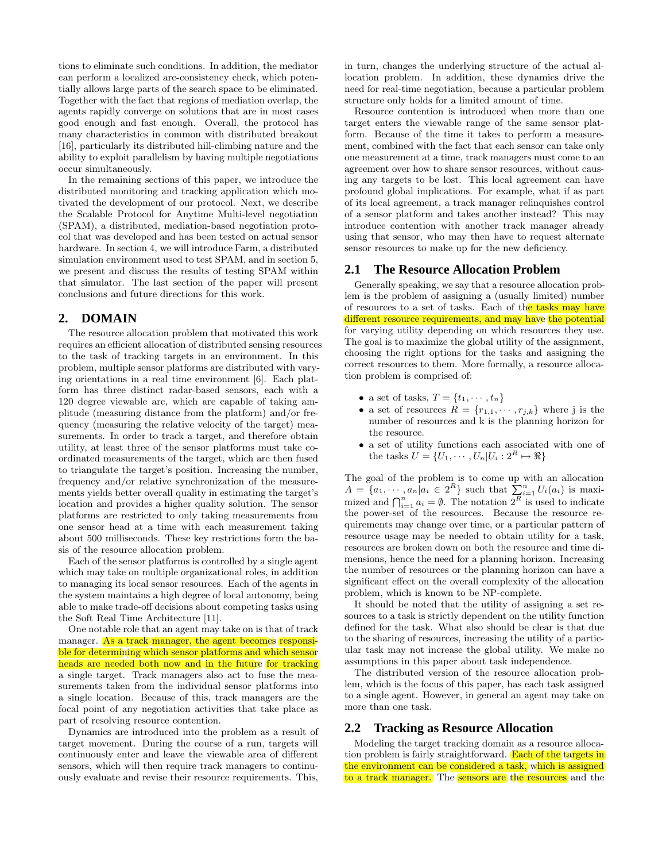tions to eliminate such conditions. In addition, the mediator can perform a localized arc-consistency check, which potentially allows large parts of the search space to be eliminated. Together with the fact that regions of mediation overlap, the agents rapidly converge on solutions that are in most cases good enough and fast enough. Overall, the protocol has many characteristics in common with distributed breakout [16], particularly its distributed hill-climbing nature and the ability to exploit parallelism by having multiple negotiations occur simultaneously.

In the remaining sections of this paper, we introduce the distributed monitoring and tracking application which motivated the development of our protocol. Next, we describe the Scalable Protocol for Anytime Multi-level negotiation (SPAM), a distributed, mediation-based negotiation protocol that was developed and has been tested on actual sensor hardware. In section 4, we will introduce Farm, a distributed simulation environment used to test SPAM, and in section 5, we present and discuss the results of testing SPAM within that simulator. The last section of the paper will present conclusions and future directions for this work.

#### **2. DOMAIN**

The resource allocation problem that motivated this work requires an efficient allocation of distributed sensing resources to the task of tracking targets in an environment. In this problem, multiple sensor platforms are distributed with varying orientations in a real time environment [6]. Each platform has three distinct radar-based sensors, each with a 120 degree viewable arc, which are capable of taking amplitude (measuring distance from the platform) and/or frequency (measuring the relative velocity of the target) measurements. In order to track a target, and therefore obtain utility, at least three of the sensor platforms must take coordinated measurements of the target, which are then fused to triangulate the target's position. Increasing the number, frequency and/or relative synchronization of the measurements yields better overall quality in estimating the target's location and provides a higher quality solution. The sensor platforms are restricted to only taking measurements from one sensor head at a time with each measurement taking about 500 milliseconds. These key restrictions form the basis of the resource allocation problem.

Each of the sensor platforms is controlled by a single agent which may take on multiple organizational roles, in addition to managing its local sensor resources. Each of the agents in the system maintains a high degree of local autonomy, being able to make trade-off decisions about competing tasks using the Soft Real Time Architecture [11].

One notable role that an agent may take on is that of track manager. As a track manager, the agent becomes responsible for determining which sensor platforms and which sensor heads are needed both now and in the future for tracking a single target. Track managers also act to fuse the measurements taken from the individual sensor platforms into a single location. Because of this, track managers are the focal point of any negotiation activities that take place as part of resolving resource contention.

Dynamics are introduced into the problem as a result of target movement. During the course of a run, targets will continuously enter and leave the viewable area of different sensors, which will then require track managers to continuously evaluate and revise their resource requirements. This,

in turn, changes the underlying structure of the actual allocation problem. In addition, these dynamics drive the need for real-time negotiation, because a particular problem structure only holds for a limited amount of time.

Resource contention is introduced when more than one target enters the viewable range of the same sensor platform. Because of the time it takes to perform a measurement, combined with the fact that each sensor can take only one measurement at a time, track managers must come to an agreement over how to share sensor resources, without causing any targets to be lost. This local agreement can have profound global implications. For example, what if as part of its local agreement, a track manager relinquishes control of a sensor platform and takes another instead? This may introduce contention with another track manager already using that sensor, who may then have to request alternate sensor resources to make up for the new deficiency.

### **2.1 The Resource Allocation Problem**

Generally speaking, we say that a resource allocation problem is the problem of assigning a (usually limited) number of resources to a set of tasks. Each of the tasks may have different resource requirements, and may have the potential for varying utility depending on which resources they use. The goal is to maximize the global utility of the assignment, choosing the right options for the tasks and assigning the correct resources to them. More formally, a resource allocation problem is comprised of:

- a set of tasks,  $T = \{t_1, \dots, t_n\}$
- a set of resources  $R = \{r_{1,1}, \dots, r_{j,k}\}\$  where j is the number of resources and k is the planning horizon for the resource.
- a set of utility functions each associated with one of the tasks  $U = \{U_1, \cdots, U_n | U_i : 2^R \mapsto \Re\}$

The goal of the problem is to come up with an allocation  $A = \{a_1, \dots, a_n | a_i \in 2^R\}$  such that  $\sum_{i=1}^n U_i(a_i)$  is maximized and  $\bigcap_{i=1}^n a_i = \emptyset$ . The notation  $2^R$  is used to indicate the power-set of the resources. Because the resource requirements may change over time, or a particular pattern of resource usage may be needed to obtain utility for a task, resources are broken down on both the resource and time dimensions, hence the need for a planning horizon. Increasing the number of resources or the planning horizon can have a significant effect on the overall complexity of the allocation problem, which is known to be NP-complete.

It should be noted that the utility of assigning a set resources to a task is strictly dependent on the utility function defined for the task. What also should be clear is that due to the sharing of resources, increasing the utility of a particular task may not increase the global utility. We make no assumptions in this paper about task independence.

The distributed version of the resource allocation problem, which is the focus of this paper, has each task assigned to a single agent. However, in general an agent may take on more than one task.

# **2.2 Tracking as Resource Allocation**

Modeling the target tracking domain as a resource allocation problem is fairly straightforward. Each of the targets in the environment can be considered a task, which is assigned to a track manager.) The sensors are the resources and the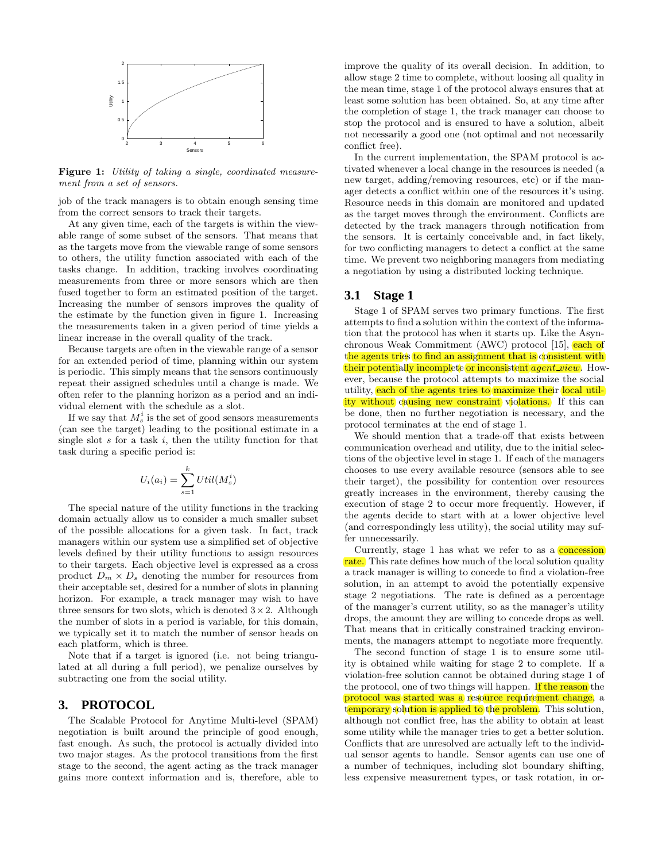

Figure 1: Utility of taking a single, coordinated measurement from a set of sensors.

job of the track managers is to obtain enough sensing time from the correct sensors to track their targets.

At any given time, each of the targets is within the viewable range of some subset of the sensors. That means that as the targets move from the viewable range of some sensors to others, the utility function associated with each of the tasks change. In addition, tracking involves coordinating measurements from three or more sensors which are then fused together to form an estimated position of the target. Increasing the number of sensors improves the quality of the estimate by the function given in figure 1. Increasing the measurements taken in a given period of time yields a linear increase in the overall quality of the track.

Because targets are often in the viewable range of a sensor for an extended period of time, planning within our system is periodic. This simply means that the sensors continuously repeat their assigned schedules until a change is made. We often refer to the planning horizon as a period and an individual element with the schedule as a slot.

If we say that  $M_s^i$  is the set of good sensors measurements (can see the target) leading to the positional estimate in a single slot  $s$  for a task  $i$ , then the utility function for that task during a specific period is:

$$
U_i(a_i) = \sum_{s=1}^k Util(M_s^i)
$$

The special nature of the utility functions in the tracking domain actually allow us to consider a much smaller subset of the possible allocations for a given task. In fact, track managers within our system use a simplified set of objective levels defined by their utility functions to assign resources to their targets. Each objective level is expressed as a cross product  $D_m \times D_s$  denoting the number for resources from their acceptable set, desired for a number of slots in planning horizon. For example, a track manager may wish to have three sensors for two slots, which is denoted  $3 \times 2$ . Although the number of slots in a period is variable, for this domain, we typically set it to match the number of sensor heads on each platform, which is three.

Note that if a target is ignored (i.e. not being triangulated at all during a full period), we penalize ourselves by subtracting one from the social utility.

#### **3. PROTOCOL**

The Scalable Protocol for Anytime Multi-level (SPAM) negotiation is built around the principle of good enough, fast enough. As such, the protocol is actually divided into two major stages. As the protocol transitions from the first stage to the second, the agent acting as the track manager gains more context information and is, therefore, able to improve the quality of its overall decision. In addition, to allow stage 2 time to complete, without loosing all quality in the mean time, stage 1 of the protocol always ensures that at least some solution has been obtained. So, at any time after the completion of stage 1, the track manager can choose to stop the protocol and is ensured to have a solution, albeit not necessarily a good one (not optimal and not necessarily conflict free).

In the current implementation, the SPAM protocol is activated whenever a local change in the resources is needed (a new target, adding/removing resources, etc) or if the manager detects a conflict within one of the resources it's using. Resource needs in this domain are monitored and updated as the target moves through the environment. Conflicts are detected by the track managers through notification from the sensors. It is certainly conceivable and, in fact likely, for two conflicting managers to detect a conflict at the same time. We prevent two neighboring managers from mediating a negotiation by using a distributed locking technique.

# **3.1 Stage 1**

Stage 1 of SPAM serves two primary functions. The first attempts to find a solution within the context of the information that the protocol has when it starts up. Like the Asynchronous Weak Commitment (AWC) protocol [15], each of the agents tries to find an assignment that is consistent with their potentially incomplete or inconsistent agent view. However, because the protocol attempts to maximize the social utility, each of the agents tries to maximize their local util- $(i$ ty without causing new constraint violations. If this can be done, then no further negotiation is necessary, and the protocol terminates at the end of stage 1.

We should mention that a trade-off that exists between communication overhead and utility, due to the initial selections of the objective level in stage 1. If each of the managers chooses to use every available resource (sensors able to see their target), the possibility for contention over resources greatly increases in the environment, thereby causing the execution of stage 2 to occur more frequently. However, if the agents decide to start with at a lower objective level (and correspondingly less utility), the social utility may suffer unnecessarily.

Currently, stage 1 has what we refer to as a  $\alpha$ rate. This rate defines how much of the local solution quality a track manager is willing to concede to find a violation-free solution, in an attempt to avoid the potentially expensive stage 2 negotiations. The rate is defined as a percentage of the manager's current utility, so as the manager's utility drops, the amount they are willing to concede drops as well. That means that in critically constrained tracking environments, the managers attempt to negotiate more frequently.

The second function of stage 1 is to ensure some utility is obtained while waiting for stage 2 to complete. If a violation-free solution cannot be obtained during stage 1 of the protocol, one of two things will happen. If the reason the protocol was started was a resource requirement change, a temporary solution is applied to the problem. This solution, although not conflict free, has the ability to obtain at least some utility while the manager tries to get a better solution. Conflicts that are unresolved are actually left to the individual sensor agents to handle. Sensor agents can use one of a number of techniques, including slot boundary shifting, less expensive measurement types, or task rotation, in or-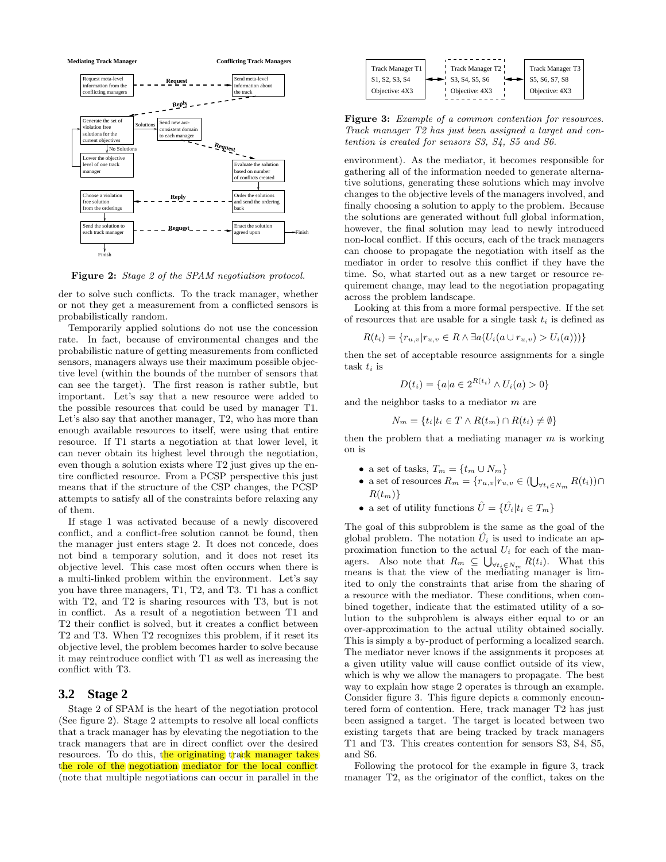

Figure 2: Stage 2 of the SPAM negotiation protocol.

der to solve such conflicts. To the track manager, whether or not they get a measurement from a conflicted sensors is probabilistically random.

Temporarily applied solutions do not use the concession rate. In fact, because of environmental changes and the probabilistic nature of getting measurements from conflicted sensors, managers always use their maximum possible objective level (within the bounds of the number of sensors that can see the target). The first reason is rather subtle, but important. Let's say that a new resource were added to the possible resources that could be used by manager T1. Let's also say that another manager, T2, who has more than enough available resources to itself, were using that entire resource. If T1 starts a negotiation at that lower level, it can never obtain its highest level through the negotiation, even though a solution exists where T2 just gives up the entire conflicted resource. From a PCSP perspective this just means that if the structure of the CSP changes, the PCSP attempts to satisfy all of the constraints before relaxing any of them.

If stage 1 was activated because of a newly discovered conflict, and a conflict-free solution cannot be found, then the manager just enters stage 2. It does not concede, does not bind a temporary solution, and it does not reset its objective level. This case most often occurs when there is a multi-linked problem within the environment. Let's say you have three managers, T1, T2, and T3. T1 has a conflict with T2, and T2 is sharing resources with T3, but is not in conflict. As a result of a negotiation between T1 and T2 their conflict is solved, but it creates a conflict between T2 and T3. When T2 recognizes this problem, if it reset its objective level, the problem becomes harder to solve because it may reintroduce conflict with T1 as well as increasing the conflict with T3.

# **3.2 Stage 2**

Stage 2 of SPAM is the heart of the negotiation protocol (See figure 2). Stage 2 attempts to resolve all local conflicts that a track manager has by elevating the negotiation to the track managers that are in direct conflict over the desired resources. To do this, the originating track manager takes the role of the negotiation  $m$ ediator for the local conflict (note that multiple negotiations can occur in parallel in the



Figure 3: Example of a common contention for resources. Track manager T2 has just been assigned a target and contention is created for sensors S3, S4, S5 and S6.

environment). As the mediator, it becomes responsible for gathering all of the information needed to generate alternative solutions, generating these solutions which may involve changes to the objective levels of the managers involved, and finally choosing a solution to apply to the problem. Because the solutions are generated without full global information, however, the final solution may lead to newly introduced non-local conflict. If this occurs, each of the track managers can choose to propagate the negotiation with itself as the mediator in order to resolve this conflict if they have the time. So, what started out as a new target or resource requirement change, may lead to the negotiation propagating across the problem landscape.

Looking at this from a more formal perspective. If the set of resources that are usable for a single task  $t_i$  is defined as

$$
R(t_i) = \{r_{u,v} | r_{u,v} \in R \land \exists a (U_i(a \cup r_{u,v}) > U_i(a)))\}
$$

then the set of acceptable resource assignments for a single task  $t_i$  is

$$
D(t_i) = \{a | a \in 2^{R(t_i)} \land U_i(a) > 0\}
$$

and the neighbor tasks to a mediator m are

$$
N_m = \{ t_i | t_i \in T \land R(t_m) \cap R(t_i) \neq \emptyset \}
$$

then the problem that a mediating manager  $m$  is working on is

- a set of tasks,  $T_m = \{t_m \cup N_m\}$
- a set of resources  $R_m = \{r_{u,v}|r_{u,v} \in (\bigcup_{\forall t_i \in N_m} R(t_i)) \cap$  $R(t_m)$ }
- $\bullet\,$  a set of utility functions  $\hat{U}=\{\hat{U_i}|t_i\in T_m\}$

The goal of this subproblem is the same as the goal of the global problem. The notation  $\hat{U}_i$  is used to indicate an approximation function to the actual  $U_i$  for each of the managers. Also note that  $R_m \subseteq \bigcup_{\forall t_i \in N_m} R(t_i)$ . What this means is that the view of the mediating manager is limited to only the constraints that arise from the sharing of a resource with the mediator. These conditions, when combined together, indicate that the estimated utility of a solution to the subproblem is always either equal to or an over-approximation to the actual utility obtained socially. This is simply a by-product of performing a localized search. The mediator never knows if the assignments it proposes at a given utility value will cause conflict outside of its view, which is why we allow the managers to propagate. The best way to explain how stage 2 operates is through an example. Consider figure 3. This figure depicts a commonly encountered form of contention. Here, track manager T2 has just been assigned a target. The target is located between two existing targets that are being tracked by track managers T1 and T3. This creates contention for sensors S3, S4, S5, and S6.

Following the protocol for the example in figure 3, track manager T2, as the originator of the conflict, takes on the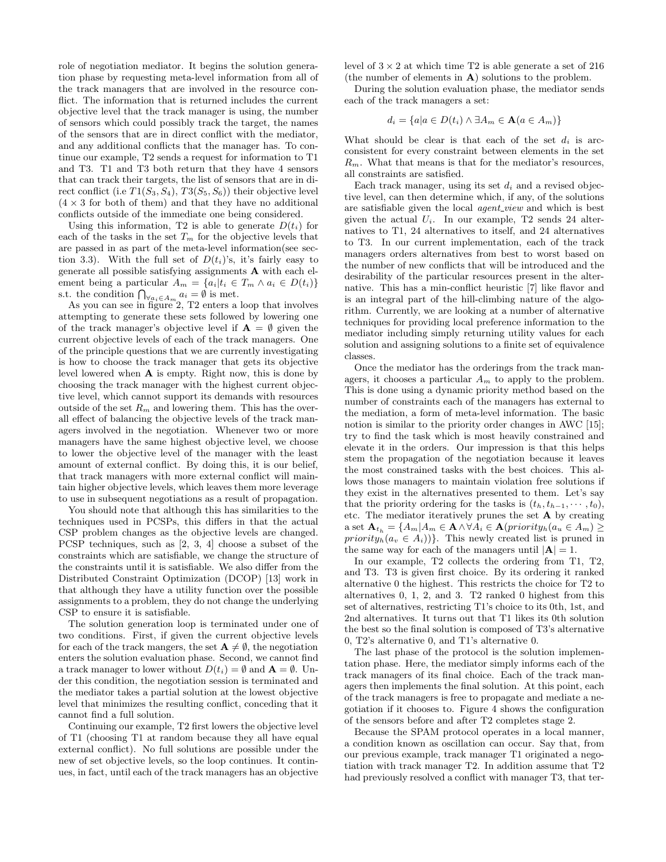role of negotiation mediator. It begins the solution generation phase by requesting meta-level information from all of the track managers that are involved in the resource conflict. The information that is returned includes the current objective level that the track manager is using, the number of sensors which could possibly track the target, the names of the sensors that are in direct conflict with the mediator, and any additional conflicts that the manager has. To continue our example, T2 sends a request for information to T1 and T3. T1 and T3 both return that they have 4 sensors that can track their targets, the list of sensors that are in direct conflict (i.e  $T1(S_3, S_4), T3(S_5, S_6)$ ) their objective level  $(4 \times 3$  for both of them) and that they have no additional conflicts outside of the immediate one being considered.

Using this information, T2 is able to generate  $D(t_i)$  for each of the tasks in the set  $T_m$  for the objective levels that are passed in as part of the meta-level information(see section 3.3). With the full set of  $D(t_i)$ 's, it's fairly easy to generate all possible satisfying assignments A with each element being a particular  $A_m = \{a_i | t_i \in T_m \land a_i \in D(t_i)\}\$ s.t. the condition  $\bigcap_{\forall a_i \in A_m} a_i = \emptyset$  is met.

As you can see in figure 2, T2 enters a loop that involves attempting to generate these sets followed by lowering one of the track manager's objective level if  $A = \emptyset$  given the current objective levels of each of the track managers. One of the principle questions that we are currently investigating is how to choose the track manager that gets its objective level lowered when A is empty. Right now, this is done by choosing the track manager with the highest current objective level, which cannot support its demands with resources outside of the set  $R_m$  and lowering them. This has the overall effect of balancing the objective levels of the track managers involved in the negotiation. Whenever two or more managers have the same highest objective level, we choose to lower the objective level of the manager with the least amount of external conflict. By doing this, it is our belief, that track managers with more external conflict will maintain higher objective levels, which leaves them more leverage to use in subsequent negotiations as a result of propagation.

You should note that although this has similarities to the techniques used in PCSPs, this differs in that the actual CSP problem changes as the objective levels are changed. PCSP techniques, such as [2, 3, 4] choose a subset of the constraints which are satisfiable, we change the structure of the constraints until it is satisfiable. We also differ from the Distributed Constraint Optimization (DCOP) [13] work in that although they have a utility function over the possible assignments to a problem, they do not change the underlying CSP to ensure it is satisfiable.

The solution generation loop is terminated under one of two conditions. First, if given the current objective levels for each of the track mangers, the set  $\mathbf{A} \neq \emptyset$ , the negotiation enters the solution evaluation phase. Second, we cannot find a track manager to lower without  $D(t_i) = \emptyset$  and  $\mathbf{A} = \emptyset$ . Under this condition, the negotiation session is terminated and the mediator takes a partial solution at the lowest objective level that minimizes the resulting conflict, conceding that it cannot find a full solution.

Continuing our example, T2 first lowers the objective level of T1 (choosing T1 at random because they all have equal external conflict). No full solutions are possible under the new of set objective levels, so the loop continues. It continues, in fact, until each of the track managers has an objective level of  $3 \times 2$  at which time T2 is able generate a set of 216 (the number of elements in A) solutions to the problem.

During the solution evaluation phase, the mediator sends each of the track managers a set:

$$
d_i = \{a | a \in D(t_i) \land \exists A_m \in \mathbf{A}(a \in A_m)\}
$$

What should be clear is that each of the set  $d_i$  is arcconsistent for every constraint between elements in the set  $R_m$ . What that means is that for the mediator's resources, all constraints are satisfied.

Each track manager, using its set  $d_i$  and a revised objective level, can then determine which, if any, of the solutions are satisfiable given the local agent view and which is best given the actual  $U_i$ . In our example, T2 sends 24 alternatives to T1, 24 alternatives to itself, and 24 alternatives to T3. In our current implementation, each of the track managers orders alternatives from best to worst based on the number of new conflicts that will be introduced and the desirability of the particular resources present in the alternative. This has a min-conflict heuristic [7] like flavor and is an integral part of the hill-climbing nature of the algorithm. Currently, we are looking at a number of alternative techniques for providing local preference information to the mediator including simply returning utility values for each solution and assigning solutions to a finite set of equivalence classes.

Once the mediator has the orderings from the track managers, it chooses a particular  $A_m$  to apply to the problem. This is done using a dynamic priority method based on the number of constraints each of the managers has external to the mediation, a form of meta-level information. The basic notion is similar to the priority order changes in AWC [15]; try to find the task which is most heavily constrained and elevate it in the orders. Our impression is that this helps stem the propagation of the negotiation because it leaves the most constrained tasks with the best choices. This allows those managers to maintain violation free solutions if they exist in the alternatives presented to them. Let's say that the priority ordering for the tasks is  $(t_h, t_{h-1}, \dots, t_0)$ , etc. The mediator iteratively prunes the set A by creating a set  $\mathbf{A}_{t_h} = \{A_m | A_m \in \mathbf{A} \land \forall A_i \in \mathbf{A}(priority_h(a_u \in A_m) \geq \emptyset\})$ priority<sub>h</sub> $(a_v \in A_i)$ }. This newly created list is pruned in the same way for each of the managers until  $|\mathbf{A}| = 1$ .

In our example, T2 collects the ordering from T1, T2, and T3. T3 is given first choice. By its ordering it ranked alternative 0 the highest. This restricts the choice for T2 to alternatives 0, 1, 2, and 3. T2 ranked 0 highest from this set of alternatives, restricting T1's choice to its 0th, 1st, and 2nd alternatives. It turns out that T1 likes its 0th solution the best so the final solution is composed of T3's alternative 0, T2's alternative 0, and T1's alternative 0.

The last phase of the protocol is the solution implementation phase. Here, the mediator simply informs each of the track managers of its final choice. Each of the track managers then implements the final solution. At this point, each of the track managers is free to propagate and mediate a negotiation if it chooses to. Figure 4 shows the configuration of the sensors before and after T2 completes stage 2.

Because the SPAM protocol operates in a local manner, a condition known as oscillation can occur. Say that, from our previous example, track manager T1 originated a negotiation with track manager T2. In addition assume that T2 had previously resolved a conflict with manager T3, that ter-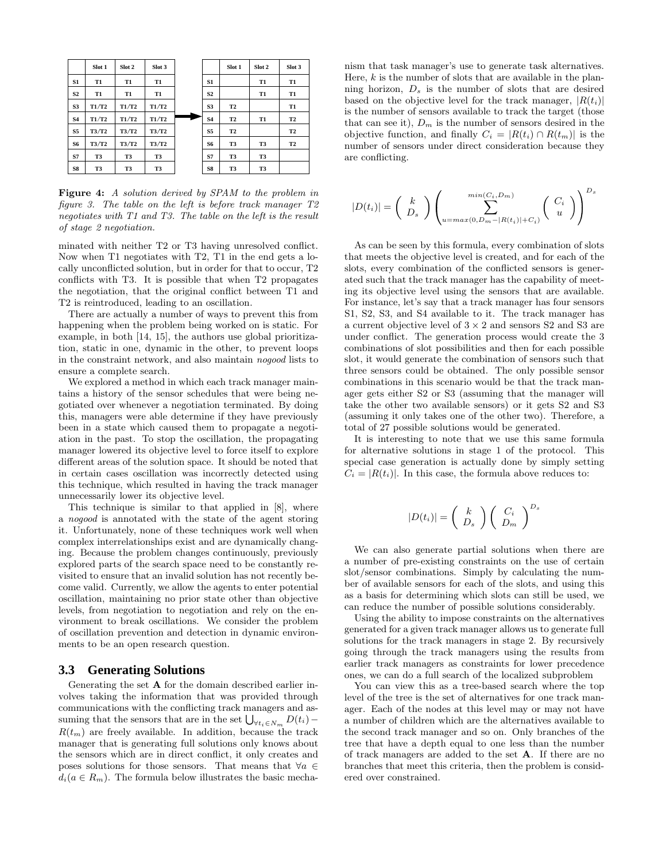|                | Slot 1    | Slot 2    | Slot 3    |           | Slot 1    | Slot 2    | Slot 3    |
|----------------|-----------|-----------|-----------|-----------|-----------|-----------|-----------|
| S1             | <b>T1</b> | <b>T1</b> | T1        | S1        |           | <b>T1</b> | T1        |
| S <sub>2</sub> | <b>T1</b> | <b>T1</b> | <b>T1</b> | S2        |           | T1        | T1        |
| S3             | T1/T2     | T1/T2     | T1/T2     | S3        | <b>T2</b> |           | T1        |
| <b>S4</b>      | T1/T2     | T1/T2     | T1/T2     | <b>S4</b> | <b>T2</b> | <b>T1</b> | <b>T2</b> |
| S <sub>5</sub> | T3/T2     | T3/T2     | T3/T2     | S5        | <b>T2</b> |           | <b>T2</b> |
| S6             | T3/T2     | T3/T2     | T3/T2     | S6        | T3        | T3        | <b>T2</b> |
| <b>S7</b>      | T3        | T3        | T3        | S7        | T3        | T3        |           |
| S8             | T3        | T3        | T3        | S8        | T3        | T3        |           |

Figure 4: A solution derived by SPAM to the problem in figure 3. The table on the left is before track manager T2 negotiates with T1 and T3. The table on the left is the result of stage 2 negotiation.

minated with neither T2 or T3 having unresolved conflict. Now when T1 negotiates with T2, T1 in the end gets a locally unconflicted solution, but in order for that to occur, T2 conflicts with T3. It is possible that when T2 propagates the negotiation, that the original conflict between T1 and T2 is reintroduced, leading to an oscillation.

There are actually a number of ways to prevent this from happening when the problem being worked on is static. For example, in both [14, 15], the authors use global prioritization, static in one, dynamic in the other, to prevent loops in the constraint network, and also maintain nogood lists to ensure a complete search.

We explored a method in which each track manager maintains a history of the sensor schedules that were being negotiated over whenever a negotiation terminated. By doing this, managers were able determine if they have previously been in a state which caused them to propagate a negotiation in the past. To stop the oscillation, the propagating manager lowered its objective level to force itself to explore different areas of the solution space. It should be noted that in certain cases oscillation was incorrectly detected using this technique, which resulted in having the track manager unnecessarily lower its objective level.

This technique is similar to that applied in [8], where a nogood is annotated with the state of the agent storing it. Unfortunately, none of these techniques work well when complex interrelationships exist and are dynamically changing. Because the problem changes continuously, previously explored parts of the search space need to be constantly revisited to ensure that an invalid solution has not recently become valid. Currently, we allow the agents to enter potential oscillation, maintaining no prior state other than objective levels, from negotiation to negotiation and rely on the environment to break oscillations. We consider the problem of oscillation prevention and detection in dynamic environments to be an open research question.

## **3.3 Generating Solutions**

Generating the set A for the domain described earlier involves taking the information that was provided through communications with the conflicting track managers and assuming that the sensors that are in the set  $\bigcup_{\forall t_i \in N_m} D(t_i)$  –  $R(t_m)$  are freely available. In addition, because the track manager that is generating full solutions only knows about the sensors which are in direct conflict, it only creates and poses solutions for those sensors. That means that  $\forall a \in \mathcal{A}$  $d_i(a \in R_m)$ . The formula below illustrates the basic mechanism that task manager's use to generate task alternatives. Here,  $k$  is the number of slots that are available in the planning horizon,  $D_s$  is the number of slots that are desired based on the objective level for the track manager,  $|R(t_i)|$ is the number of sensors available to track the target (those that can see it),  $D_m$  is the number of sensors desired in the objective function, and finally  $C_i = |R(t_i) \cap R(t_m)|$  is the number of sensors under direct consideration because they are conflicting.

$$
|D(t_i)| = {k \choose D_s} \left( \frac{\min(C_i, D_m)}{\sum_{u = max(0, D_m - |R(t_i)| + C_i)}^{\min(C_i, D_m)} \binom{C_i}{u}} \right)^{D_s}
$$

As can be seen by this formula, every combination of slots that meets the objective level is created, and for each of the slots, every combination of the conflicted sensors is generated such that the track manager has the capability of meeting its objective level using the sensors that are available. For instance, let's say that a track manager has four sensors S1, S2, S3, and S4 available to it. The track manager has a current objective level of  $3 \times 2$  and sensors S2 and S3 are under conflict. The generation process would create the 3 combinations of slot possibilities and then for each possible slot, it would generate the combination of sensors such that three sensors could be obtained. The only possible sensor combinations in this scenario would be that the track manager gets either S2 or S3 (assuming that the manager will take the other two available sensors) or it gets S2 and S3 (assuming it only takes one of the other two). Therefore, a total of 27 possible solutions would be generated.

It is interesting to note that we use this same formula for alternative solutions in stage 1 of the protocol. This special case generation is actually done by simply setting  $C_i = |R(t_i)|$ . In this case, the formula above reduces to:

$$
|D(t_i)| = \left(\begin{array}{c} k \\ D_s \end{array}\right) \left(\begin{array}{c} C_i \\ D_m \end{array}\right)^{D_s}
$$

We can also generate partial solutions when there are a number of pre-existing constraints on the use of certain slot/sensor combinations. Simply by calculating the number of available sensors for each of the slots, and using this as a basis for determining which slots can still be used, we can reduce the number of possible solutions considerably.

Using the ability to impose constraints on the alternatives generated for a given track manager allows us to generate full solutions for the track managers in stage 2. By recursively going through the track managers using the results from earlier track managers as constraints for lower precedence ones, we can do a full search of the localized subproblem

You can view this as a tree-based search where the top level of the tree is the set of alternatives for one track manager. Each of the nodes at this level may or may not have a number of children which are the alternatives available to the second track manager and so on. Only branches of the tree that have a depth equal to one less than the number of track managers are added to the set A. If there are no branches that meet this criteria, then the problem is considered over constrained.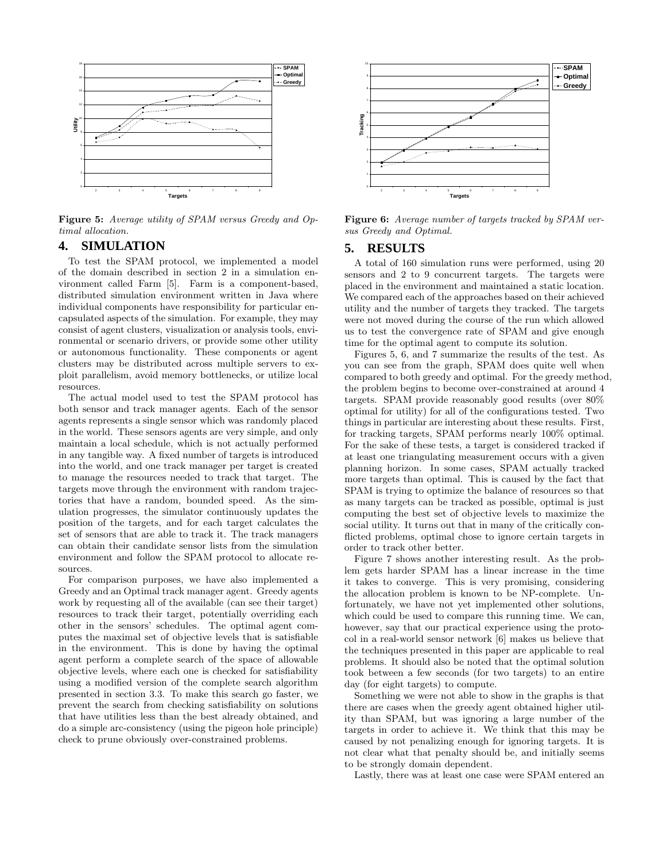

Figure 5: Average utility of SPAM versus Greedy and Optimal allocation.

#### **4. SIMULATION**

To test the SPAM protocol, we implemented a model of the domain described in section 2 in a simulation environment called Farm [5]. Farm is a component-based, distributed simulation environment written in Java where individual components have responsibility for particular encapsulated aspects of the simulation. For example, they may consist of agent clusters, visualization or analysis tools, environmental or scenario drivers, or provide some other utility or autonomous functionality. These components or agent clusters may be distributed across multiple servers to exploit parallelism, avoid memory bottlenecks, or utilize local resources.

The actual model used to test the SPAM protocol has both sensor and track manager agents. Each of the sensor agents represents a single sensor which was randomly placed in the world. These sensors agents are very simple, and only maintain a local schedule, which is not actually performed in any tangible way. A fixed number of targets is introduced into the world, and one track manager per target is created to manage the resources needed to track that target. The targets move through the environment with random trajectories that have a random, bounded speed. As the simulation progresses, the simulator continuously updates the position of the targets, and for each target calculates the set of sensors that are able to track it. The track managers can obtain their candidate sensor lists from the simulation environment and follow the SPAM protocol to allocate resources.

For comparison purposes, we have also implemented a Greedy and an Optimal track manager agent. Greedy agents work by requesting all of the available (can see their target) resources to track their target, potentially overriding each other in the sensors' schedules. The optimal agent computes the maximal set of objective levels that is satisfiable in the environment. This is done by having the optimal agent perform a complete search of the space of allowable objective levels, where each one is checked for satisfiability using a modified version of the complete search algorithm presented in section 3.3. To make this search go faster, we prevent the search from checking satisfiability on solutions that have utilities less than the best already obtained, and do a simple arc-consistency (using the pigeon hole principle) check to prune obviously over-constrained problems.



Figure 6: Average number of targets tracked by SPAM versus Greedy and Optimal.

#### **5. RESULTS**

A total of 160 simulation runs were performed, using 20 sensors and 2 to 9 concurrent targets. The targets were placed in the environment and maintained a static location. We compared each of the approaches based on their achieved utility and the number of targets they tracked. The targets were not moved during the course of the run which allowed us to test the convergence rate of SPAM and give enough time for the optimal agent to compute its solution.

Figures 5, 6, and 7 summarize the results of the test. As you can see from the graph, SPAM does quite well when compared to both greedy and optimal. For the greedy method, the problem begins to become over-constrained at around 4 targets. SPAM provide reasonably good results (over 80% optimal for utility) for all of the configurations tested. Two things in particular are interesting about these results. First, for tracking targets, SPAM performs nearly 100% optimal. For the sake of these tests, a target is considered tracked if at least one triangulating measurement occurs with a given planning horizon. In some cases, SPAM actually tracked more targets than optimal. This is caused by the fact that SPAM is trying to optimize the balance of resources so that as many targets can be tracked as possible, optimal is just computing the best set of objective levels to maximize the social utility. It turns out that in many of the critically conflicted problems, optimal chose to ignore certain targets in order to track other better.

Figure 7 shows another interesting result. As the problem gets harder SPAM has a linear increase in the time it takes to converge. This is very promising, considering the allocation problem is known to be NP-complete. Unfortunately, we have not yet implemented other solutions, which could be used to compare this running time. We can, however, say that our practical experience using the protocol in a real-world sensor network [6] makes us believe that the techniques presented in this paper are applicable to real problems. It should also be noted that the optimal solution took between a few seconds (for two targets) to an entire day (for eight targets) to compute.

Something we were not able to show in the graphs is that there are cases when the greedy agent obtained higher utility than SPAM, but was ignoring a large number of the targets in order to achieve it. We think that this may be caused by not penalizing enough for ignoring targets. It is not clear what that penalty should be, and initially seems to be strongly domain dependent.

Lastly, there was at least one case were SPAM entered an